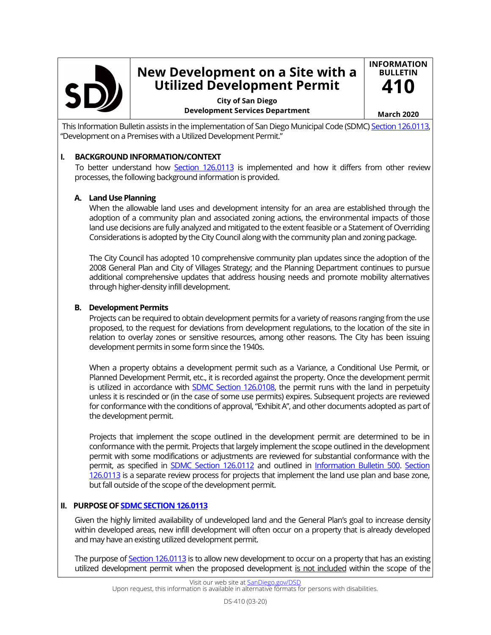

# **New Development on a Site with a Utilized Development Permit**

**City of San Diego Development Services Department March 2020**

**INFORMATION BULLETIN 410**

This Information Bulletin assists in the implementation of San Diego Municipal Code (SDMC) [Section 126.0113](https://docs.sandiego.gov/municode/MuniCodeChapter12/Ch12Art06Division01.pdf), "Development on a Premises with a Utilized Development Permit."

## **I. BACKGROUND INFORMATION/CONTEXT**

 To better understand how [Section 126.0113](https://docs.sandiego.gov/municode/MuniCodeChapter12/Ch12Art06Division01.pdf) is implemented and how it differs from other review processes, the following background information is provided.

## **A. Land Use Planning**

When the allowable land uses and development intensity for an area are established through the adoption of a community plan and associated zoning actions, the environmental impacts of those land use decisions are fully analyzed and mitigated to the extent feasible or a Statement of Overriding Considerations is adopted by the City Council along with the community plan and zoning package.

The City Council has adopted 10 comprehensive community plan updates since the adoption of the 2008 General Plan and City of Villages Strategy; and the Planning Department continues to pursue additional comprehensive updates that address housing needs and promote mobility alternatives through higher-density infill development.

### **B. Development Permits**

Projects can be required to obtain development permits for a variety of reasons ranging from the use proposed, to the request for deviations from development regulations, to the location of the site in relation to overlay zones or sensitive resources, among other reasons. The City has been issuing development permits in some form since the 1940s.

When a property obtains a development permit such as a Variance, a Conditional Use Permit, or Planned Development Permit, etc., it is recorded against the property. Once the development permit is utilized in accordance with **SDMC Section 126.0108**, the permit runs with the land in perpetuity unless it is rescinded or (in the case of some use permits) expires. Subsequent projects are reviewed for conformance with the conditions of approval, "Exhibit A", and other documents adopted as part of the development permit.

Projects that implement the scope outlined in the development permit are determined to be in conformance with the permit. Projects that largely implement the scope outlined in the development permit with some modifications or adjustments are reviewed for substantial conformance with the permit, as specified in [SDMC Section 126.0112](https://docs.sandiego.gov/municode/MuniCodeChapter12/Ch12Art06Division01.pdf) and outlined in [Information Bulletin 500.](https://www.sandiego.gov/sites/default/files/dsdib500.pdf) [Section](https://docs.sandiego.gov/municode/MuniCodeChapter12/Ch12Art06Division01.pdf)  [126.0113](https://docs.sandiego.gov/municode/MuniCodeChapter12/Ch12Art06Division01.pdf) is a separate review process for projects that implement the land use plan and base zone, but fall outside of the scope of the development permit.

### **II. PURPOSE OF [SDMC SECTION 126.0113](https://docs.sandiego.gov/municode/MuniCodeChapter12/Ch12Art06Division01.pdf)**

Given the highly limited availability of undeveloped land and the General Plan's goal to increase density within developed areas, new infill development will often occur on a property that is already developed and may have an existing utilized development permit.

The purpose of [Section 126.0113](https://docs.sandiego.gov/municode/MuniCodeChapter12/Ch12Art06Division01.pdf) is to allow new development to occur on a property that has an existing utilized development permit when the proposed development is not included within the scope of the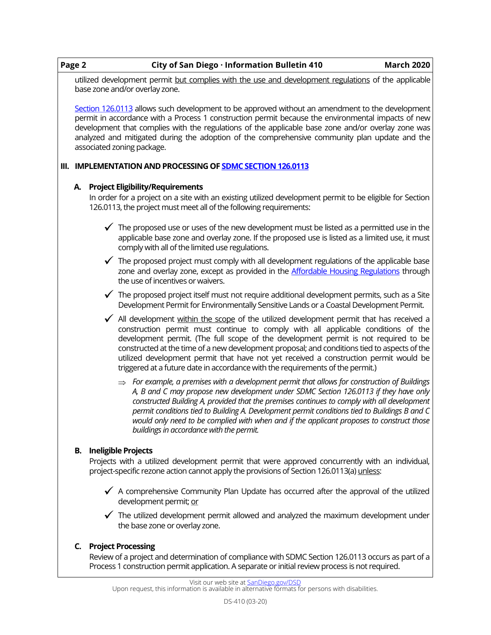|  | Page 2 | City of San Diego · Information Bulletin 410                                                                                                                                                                                                                                                                                                                                                                                                                                                                                                   | <b>March 2020</b> |
|--|--------|------------------------------------------------------------------------------------------------------------------------------------------------------------------------------------------------------------------------------------------------------------------------------------------------------------------------------------------------------------------------------------------------------------------------------------------------------------------------------------------------------------------------------------------------|-------------------|
|  |        | utilized development permit but complies with the use and development regulations of the applicable<br>base zone and/or overlay zone.                                                                                                                                                                                                                                                                                                                                                                                                          |                   |
|  |        | Section 126.0113 allows such development to be approved without an amendment to the development<br>permit in accordance with a Process 1 construction permit because the environmental impacts of new<br>development that complies with the regulations of the applicable base zone and/or overlay zone was<br>analyzed and mitigated during the adoption of the comprehensive community plan update and the<br>associated zoning package.                                                                                                     |                   |
|  |        | III. IMPLEMENTATION AND PROCESSING OF <b>SDMC SECTION 126.0113</b>                                                                                                                                                                                                                                                                                                                                                                                                                                                                             |                   |
|  | А.     | <b>Project Eligibility/Requirements</b><br>In order for a project on a site with an existing utilized development permit to be eligible for Section<br>126.0113, the project must meet all of the following requirements:                                                                                                                                                                                                                                                                                                                      |                   |
|  |        | $\checkmark$ The proposed use or uses of the new development must be listed as a permitted use in the<br>applicable base zone and overlay zone. If the proposed use is listed as a limited use, it must<br>comply with all of the limited use regulations.                                                                                                                                                                                                                                                                                     |                   |
|  |        | $\checkmark$ The proposed project must comply with all development regulations of the applicable base<br>zone and overlay zone, except as provided in the Affordable Housing Regulations through<br>the use of incentives or waivers.                                                                                                                                                                                                                                                                                                          |                   |
|  |        | $\checkmark$ The proposed project itself must not require additional development permits, such as a Site<br>Development Permit for Environmentally Sensitive Lands or a Coastal Development Permit.                                                                                                                                                                                                                                                                                                                                            |                   |
|  |        | All development within the scope of the utilized development permit that has received a<br>construction permit must continue to comply with all applicable conditions of the<br>development permit. (The full scope of the development permit is not required to be<br>constructed at the time of a new development proposal; and conditions tied to aspects of the<br>utilized development permit that have not yet received a construction permit would be<br>triggered at a future date in accordance with the requirements of the permit.) |                   |
|  |        | $\Rightarrow$ For example, a premises with a development permit that allows for construction of Buildings<br>A, B and C may propose new development under SDMC Section 126.0113 if they have only<br>constructed Building A, provided that the premises continues to comply with all development<br>permit conditions tied to Building A. Development permit conditions tied to Buildings B and C<br>would only need to be complied with when and if the applicant proposes to construct those<br>buildings in accordance with the permit.     |                   |
|  | В.     | <b>Ineligible Projects</b>                                                                                                                                                                                                                                                                                                                                                                                                                                                                                                                     |                   |
|  |        | Projects with a utilized development permit that were approved concurrently with an individual,<br>project-specific rezone action cannot apply the provisions of Section 126.0113(a) unless:                                                                                                                                                                                                                                                                                                                                                   |                   |
|  |        | $\checkmark$ A comprehensive Community Plan Update has occurred after the approval of the utilized<br>development permit; or                                                                                                                                                                                                                                                                                                                                                                                                                   |                   |
|  |        | $\checkmark$ The utilized development permit allowed and analyzed the maximum development under<br>the base zone or overlay zone.                                                                                                                                                                                                                                                                                                                                                                                                              |                   |
|  | C.     | <b>Project Processing</b>                                                                                                                                                                                                                                                                                                                                                                                                                                                                                                                      |                   |
|  |        | Review of a project and determination of compliance with SDMC Section 126.0113 occurs as part of a<br>Process 1 construction permit application. A separate or initial review process is not required.                                                                                                                                                                                                                                                                                                                                         |                   |